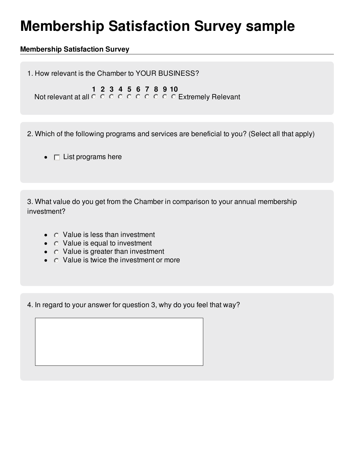## **Membership Satisfaction Survey sample**

## **Membership Satisfaction Survey**

1. How relevant is the Chamber to YOUR BUSINESS?

**1 2 3 4 5 6 7 8 9 10**

Not relevant at all  $\circ\,\circ\,\circ\,\circ\,\circ\,\circ\,\circ\,\circ\,\circ$  Extremely Relevant

2. Which of the following programs and services are beneficial to you? (Select all that apply)

 $\bullet$   $\Box$  List programs here

3. What value do you get from the Chamber in comparison to your annual membership investment?

- $\bullet$   $\circ$  Value is less than investment
- $\bullet$   $\circ$  Value is equal to investment
- $\bullet$   $\circ$  Value is greater than investment
- $\bullet$   $\circ$  Value is twice the investment or more

4. In regard to your answer for question 3, why do you feel that way?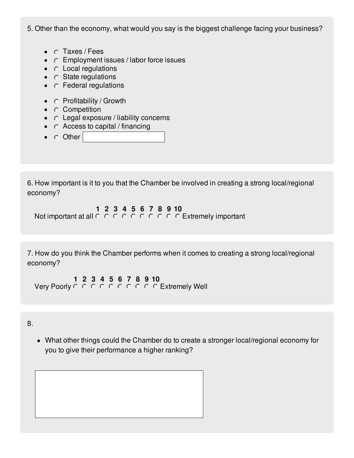5. Other than the economy, what would you say is the biggest challenge facing your business?

- $\bullet$   $\circ$  Taxes / Fees
- $\circ$  Employment issues / labor force issues
- $\bullet$   $\circ$  Local regulations
- $\bullet$   $\circ$  State regulations
- $\bullet$   $\circ$  Federal regulations
- $\bullet$   $\circ$  Profitability / Growth
- C Competition
- $\circ$  Legal exposure / liability concerns
- $\bullet$   $\circ$  Access to capital / financing
- $\bullet$   $\circ$  Other

6. How important is it to you that the Chamber be involved in creating a strong local/regional economy?

**1 2 3 4 5 6 7 8 9 10** Not important at all  $\circ \circ \circ \circ \circ \circ \circ \circ \circ \circ \circ$  Extremely important

7. How do you think the Chamber performs when it comes to creating a strong local/regional economy?

**1 2 3 4 5 6 7 8 9 10** Very Poorly  $\circ \circ \circ \circ \circ \circ \circ \circ \circ \circ$  Extremely Well

8.

What other things could the Chamber do to create a stronger local/regional economy for you to give their performance a higher ranking?

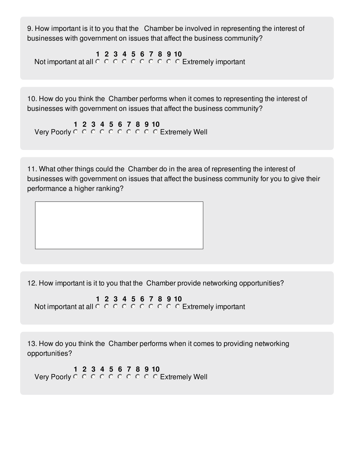9. How important is it to you that the Chamber be involved in representing the interest of businesses with government on issues that affect the business community?

**1 2 3 4 5 6 7 8 9 10** Not important at all  $\circ\,\circ\,\circ\,\circ\,\circ\,\circ\,\circ\,\circ\,\circ$  Extremely important

10. How do you think the Chamber performs when it comes to representing the interest of businesses with government on issues that affect the business community?

**1 2 3 4 5 6 7 8 9 10** Very Poorly © © © © © © © © © Extremely Well

11. What other things could the Chamber do in the area of representing the interest of businesses with government on issues that affect the business community for you to give their performance a higher ranking?

12. How important is it to you that the Chamber provide networking opportunities?

**1 2 3 4 5 6 7 8 9 10** Not important at all  $\circ\,\circ\,\circ\,\circ\,\circ\,\circ\,\circ\,\circ\,\circ$  Extremely important

13. How do you think the Chamber performs when it comes to providing networking opportunities?

**1 2 3 4 5 6 7 8 9 10** Very Poorly © © © © © © © © © Extremely Well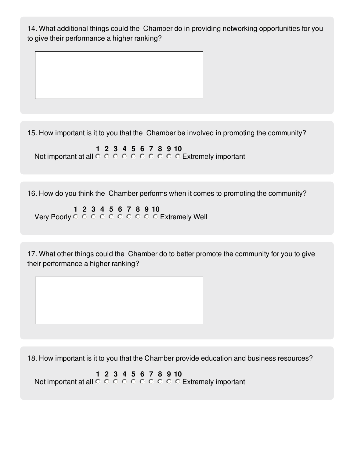14. What additional things could the Chamber do in providing networking opportunities for you to give their performance a higher ranking?

15. How important is it to you that the Chamber be involved in promoting the community?

**1 2 3 4 5 6 7 8 9 10** Not important at all  $\circ\,\circ\,\circ\,\circ\,\circ\,\circ\,\circ\,\circ\,\circ$  Extremely important

16. How do you think the Chamber performs when it comes to promoting the community?

**1 2 3 4 5 6 7 8 9 10** Very Poorly  $\circ \circ \circ \circ \circ \circ \circ \circ \circ \circ$  Extremely Well

17. What other things could the Chamber do to better promote the community for you to give their performance a higher ranking?

18. How important is it to you that the Chamber provide education and business resources?

**1 2 3 4 5 6 7 8 9 10** Not important at all  $\circ\,\circ\,\circ\,\circ\,\circ\,\circ\,\circ\,\circ\,\circ$  Extremely important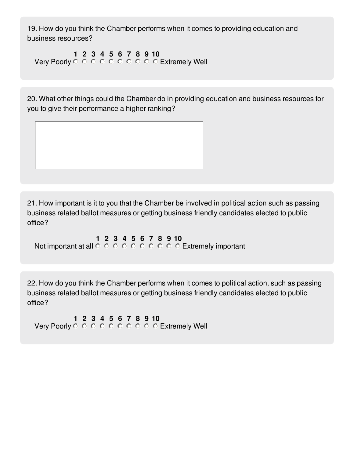19. How do you think the Chamber performs when it comes to providing education and business resources?

**1 2 3 4 5 6 7 8 9 10** Very Poorly © © © © © © © © © Extremely Well

20. What other things could the Chamber do in providing education and business resources for you to give their performance a higher ranking?

21. How important is it to you that the Chamber be involved in political action such as passing business related ballot measures or getting business friendly candidates elected to public office?

**1 2 3 4 5 6 7 8 9 10** Not important at all  $\circ\,\circ\,\circ\,\circ\,\circ\,\circ\,\circ\,\circ\,\circ$  Extremely important

22. How do you think the Chamber performs when it comes to political action, such as passing business related ballot measures or getting business friendly candidates elected to public office?

**1 2 3 4 5 6 7 8 9 10** Very Poorly  $\circ \circ \circ \circ \circ \circ \circ \circ \circ \circ$  Extremely Well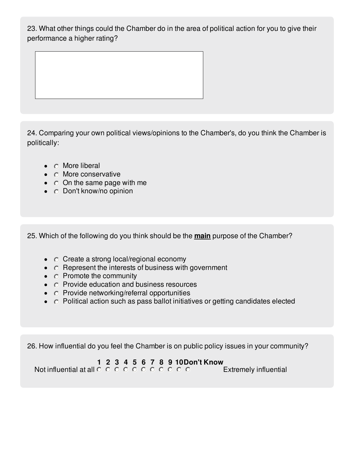23. What other things could the Chamber do in the area of political action for you to give their performance a higher rating?

24. Comparing your own political views/opinions to the Chamber's, do you think the Chamber is politically:

- $\bullet$   $\circ$  More liberal
- $\bullet$   $\circ$  More conservative
- $\bullet$   $\circ$  On the same page with me
- $\bullet$   $\circ$  Don't know/no opinion

25. Which of the following do you think should be the **main** purpose of the Chamber?

- $\circ$  Create a strong local/regional economy
- $\bullet$   $\circ$  Represent the interests of business with government
- $\bullet$   $\circ$  Promote the community
- $\bullet$   $\circ$  Provide education and business resources
- $\bullet$   $\circ$  Provide networking/referral opportunities
- $\circ$  Political action such as pass ballot initiatives or getting candidates elected

26. How influential do you feel the Chamber is on public policy issues in your community?

## **1 2 3 4 5 6 7 8 9 10Don't Know**

Not influential at all Extremely influential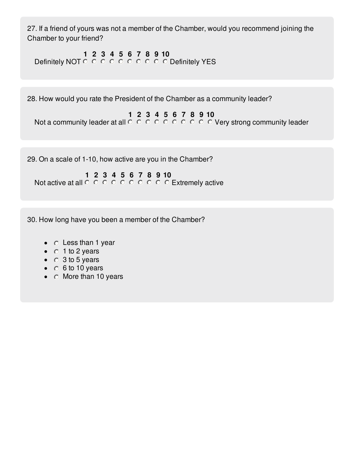27. If a friend of yours was not a member of the Chamber, would you recommend joining the Chamber to your friend?

**1 2 3 4 5 6 7 8 9 10** Definitely NOT Definitely YES

28. How would you rate the President of the Chamber as a community leader?

**1 2 3 4 5 6 7 8 9 10** Not a community leader at all  $\circ \circ \circ \circ \circ \circ \circ \circ \circ \circ \circ$  Very strong community leader

29. On a scale of 1-10, how active are you in the Chamber?

**1 2 3 4 5 6 7 8 9 10** Not active at all  $\circ \circ \circ \circ \circ \circ \circ \circ \circ \circ$  Extremely active

30. How long have you been a member of the Chamber?

- $\bullet$   $\circ$  Less than 1 year
- $\bullet$  0 1 to 2 years
- $\bullet$   $\circ$  3 to 5 years
- $\bullet$  6 to 10 years
- $\bullet$   $\circ$  More than 10 years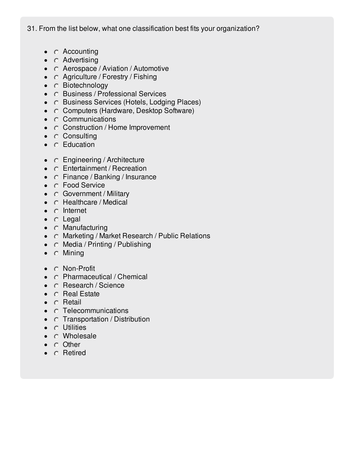31. From the list below, what one classification best fits your organization?

- $\bullet$   $\circ$  Accounting
- $\bullet$   $\circ$  Advertising
- C Aerospace / Aviation / Automotive
- $\bullet$   $\circ$  Agriculture / Forestry / Fishing
- $\bullet$   $\circ$  Biotechnology
- C Business / Professional Services
- C Business Services (Hotels, Lodging Places)
- C Computers (Hardware, Desktop Software)
- $\bullet$   $\circ$  Communications
- $\circ$  Construction / Home Improvement
- $\bullet$   $\circ$  Consulting
- $\bullet$   $\circ$  Education
- C Engineering / Architecture
- C Entertainment / Recreation
- $\bullet$   $\circ$  Finance / Banking / Insurance
- C Food Service
- **Government / Military**
- $\bullet$   $\circ$  Healthcare / Medical
- $\bullet$   $\circ$  Internet
- $\bullet$   $\circ$  Legal
- $\bullet$   $\circ$  Manufacturing
- C Marketing / Market Research / Public Relations
- $\bullet$   $\circ$  Media / Printing / Publishing
- $\bullet$   $\circ$  Mining
- C Non-Profit
- C Pharmaceutical / Chemical
- C Research / Science  $\bullet$
- $\bullet$   $\circ$  Real Estate
- $\bullet$   $\circ$  Retail
- $\bullet$   $\circ$  Telecommunications
- $\circ$  Transportation / Distribution
- **O** Utilities
- C Wholesale
- $\bullet$   $\circ$  Other
- $\bullet$   $\circ$  Retired